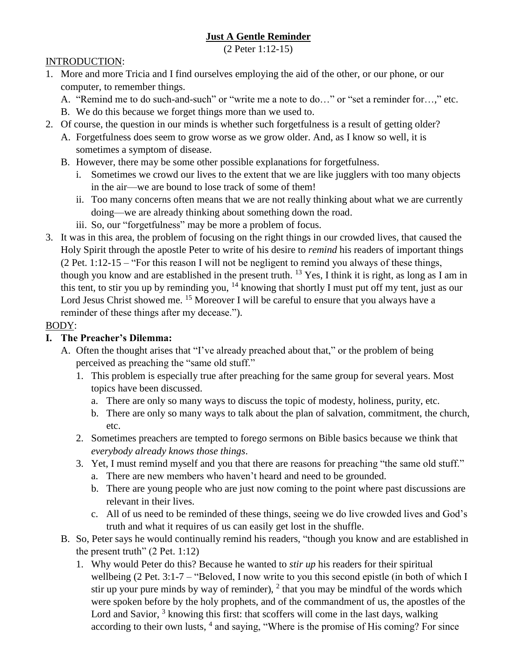# **Just A Gentle Reminder**

(2 Peter 1:12-15)

### INTRODUCTION:

- 1. More and more Tricia and I find ourselves employing the aid of the other, or our phone, or our computer, to remember things.
	- A. "Remind me to do such-and-such" or "write me a note to do…" or "set a reminder for…," etc.
	- B. We do this because we forget things more than we used to.
- 2. Of course, the question in our minds is whether such forgetfulness is a result of getting older?
	- A. Forgetfulness does seem to grow worse as we grow older. And, as I know so well, it is sometimes a symptom of disease.
	- B. However, there may be some other possible explanations for forgetfulness.
		- i. Sometimes we crowd our lives to the extent that we are like jugglers with too many objects in the air—we are bound to lose track of some of them!
		- ii. Too many concerns often means that we are not really thinking about what we are currently doing—we are already thinking about something down the road.
		- iii. So, our "forgetfulness" may be more a problem of focus.
- 3. It was in this area, the problem of focusing on the right things in our crowded lives, that caused the Holy Spirit through the apostle Peter to write of his desire to *remind* his readers of important things (2 Pet. 1:12-15 – "For this reason I will not be negligent to remind you always of these things, though you know and are established in the present truth. <sup>13</sup> Yes, I think it is right, as long as I am in this tent, to stir you up by reminding you, <sup>14</sup> knowing that shortly I must put off my tent, just as our Lord Jesus Christ showed me. <sup>15</sup> Moreover I will be careful to ensure that you always have a reminder of these things after my decease.").

### BODY:

### **I. The Preacher's Dilemma:**

- A. Often the thought arises that "I've already preached about that," or the problem of being perceived as preaching the "same old stuff."
	- 1. This problem is especially true after preaching for the same group for several years. Most topics have been discussed.
		- a. There are only so many ways to discuss the topic of modesty, holiness, purity, etc.
		- b. There are only so many ways to talk about the plan of salvation, commitment, the church, etc.
	- 2. Sometimes preachers are tempted to forego sermons on Bible basics because we think that *everybody already knows those things*.
	- 3. Yet, I must remind myself and you that there are reasons for preaching "the same old stuff."
		- a. There are new members who haven't heard and need to be grounded.
		- b. There are young people who are just now coming to the point where past discussions are relevant in their lives.
		- c. All of us need to be reminded of these things, seeing we do live crowded lives and God's truth and what it requires of us can easily get lost in the shuffle.
- B. So, Peter says he would continually remind his readers, "though you know and are established in the present truth"  $(2$  Pet. 1:12)
	- 1. Why would Peter do this? Because he wanted to *stir up* his readers for their spiritual wellbeing (2 Pet. 3:1-7 – "Beloved, I now write to you this second epistle (in both of which I stir up your pure minds by way of reminder),  $2$  that you may be mindful of the words which were spoken before by the holy prophets, and of the commandment of us, the apostles of the Lord and Savior,  $3$  knowing this first: that scoffers will come in the last days, walking according to their own lusts, <sup>4</sup> and saying, "Where is the promise of His coming? For since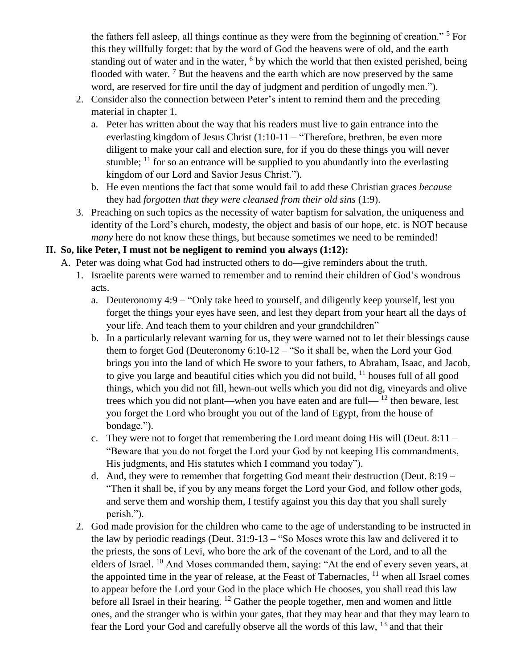the fathers fell asleep, all things continue as they were from the beginning of creation."<sup>5</sup> For this they willfully forget: that by the word of God the heavens were of old, and the earth standing out of water and in the water, <sup>6</sup> by which the world that then existed perished, being flooded with water.  $<sup>7</sup>$  But the heavens and the earth which are now preserved by the same</sup> word, are reserved for fire until the day of judgment and perdition of ungodly men.").

- 2. Consider also the connection between Peter's intent to remind them and the preceding material in chapter 1.
	- a. Peter has written about the way that his readers must live to gain entrance into the everlasting kingdom of Jesus Christ (1:10-11 – "Therefore, brethren, be even more diligent to make your call and election sure, for if you do these things you will never stumble;  $^{11}$  for so an entrance will be supplied to you abundantly into the everlasting kingdom of our Lord and Savior Jesus Christ.").
	- b. He even mentions the fact that some would fail to add these Christian graces *because* they had *forgotten that they were cleansed from their old sins* (1:9).
- 3. Preaching on such topics as the necessity of water baptism for salvation, the uniqueness and identity of the Lord's church, modesty, the object and basis of our hope, etc. is NOT because *many* here do not know these things, but because sometimes we need to be reminded!

### **II. So, like Peter, I must not be negligent to remind you always (1:12):**

- A. Peter was doing what God had instructed others to do—give reminders about the truth.
	- 1. Israelite parents were warned to remember and to remind their children of God's wondrous acts.
		- a. Deuteronomy 4:9 "Only take heed to yourself, and diligently keep yourself, lest you forget the things your eyes have seen, and lest they depart from your heart all the days of your life. And teach them to your children and your grandchildren"
		- b. In a particularly relevant warning for us, they were warned not to let their blessings cause them to forget God (Deuteronomy 6:10-12 – "So it shall be, when the Lord your God brings you into the land of which He swore to your fathers, to Abraham, Isaac, and Jacob, to give you large and beautiful cities which you did not build,  $11$  houses full of all good things, which you did not fill, hewn-out wells which you did not dig, vineyards and olive trees which you did not plant—when you have eaten and are full— $^{12}$  then beware, lest you forget the Lord who brought you out of the land of Egypt, from the house of bondage.").
		- c. They were not to forget that remembering the Lord meant doing His will (Deut.  $8:11 -$ "Beware that you do not forget the Lord your God by not keeping His commandments, His judgments, and His statutes which I command you today").
		- d. And, they were to remember that forgetting God meant their destruction (Deut. 8:19 "Then it shall be, if you by any means forget the Lord your God, and follow other gods, and serve them and worship them, I testify against you this day that you shall surely perish.").
	- 2. God made provision for the children who came to the age of understanding to be instructed in the law by periodic readings (Deut. 31:9-13 – "So Moses wrote this law and delivered it to the priests, the sons of Levi, who bore the ark of the covenant of the Lord, and to all the elders of Israel. <sup>10</sup> And Moses commanded them, saying: "At the end of every seven years, at the appointed time in the year of release, at the Feast of Tabernacles,  $11$  when all Israel comes to appear before the Lord your God in the place which He chooses, you shall read this law before all Israel in their hearing. <sup>12</sup> Gather the people together, men and women and little ones, and the stranger who is within your gates, that they may hear and that they may learn to fear the Lord your God and carefully observe all the words of this law, <sup>13</sup> and that their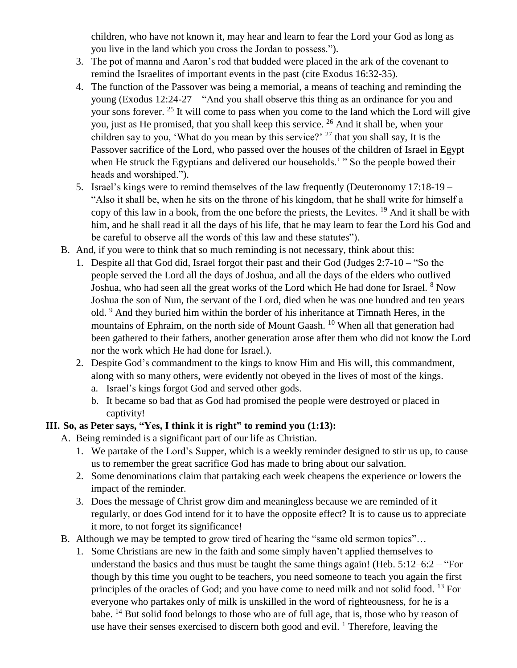children, who have not known it, may hear and learn to fear the Lord your God as long as you live in the land which you cross the Jordan to possess.").

- 3. The pot of manna and Aaron's rod that budded were placed in the ark of the covenant to remind the Israelites of important events in the past (cite Exodus 16:32-35).
- 4. The function of the Passover was being a memorial, a means of teaching and reminding the young (Exodus 12:24-27 – "And you shall observe this thing as an ordinance for you and your sons forever. <sup>25</sup> It will come to pass when you come to the land which the Lord will give you, just as He promised, that you shall keep this service. <sup>26</sup> And it shall be, when your children say to you, 'What do you mean by this service?'  $27$  that you shall say, It is the Passover sacrifice of the Lord, who passed over the houses of the children of Israel in Egypt when He struck the Egyptians and delivered our households.' " So the people bowed their heads and worshiped.").
- 5. Israel's kings were to remind themselves of the law frequently (Deuteronomy 17:18-19 "Also it shall be, when he sits on the throne of his kingdom, that he shall write for himself a copy of this law in a book, from the one before the priests, the Levites. <sup>19</sup> And it shall be with him, and he shall read it all the days of his life, that he may learn to fear the Lord his God and be careful to observe all the words of this law and these statutes").
- B. And, if you were to think that so much reminding is not necessary, think about this:
	- 1. Despite all that God did, Israel forgot their past and their God (Judges 2:7-10 "So the people served the Lord all the days of Joshua, and all the days of the elders who outlived Joshua, who had seen all the great works of the Lord which He had done for Israel. <sup>8</sup> Now Joshua the son of Nun, the servant of the Lord, died when he was one hundred and ten years old. <sup>9</sup> And they buried him within the border of his inheritance at Timnath Heres, in the mountains of Ephraim, on the north side of Mount Gaash.<sup>10</sup> When all that generation had been gathered to their fathers, another generation arose after them who did not know the Lord nor the work which He had done for Israel.).
	- 2. Despite God's commandment to the kings to know Him and His will, this commandment, along with so many others, were evidently not obeyed in the lives of most of the kings.
		- a. Israel's kings forgot God and served other gods.
		- b. It became so bad that as God had promised the people were destroyed or placed in captivity!

### **III. So, as Peter says, "Yes, I think it is right" to remind you (1:13):**

- A. Being reminded is a significant part of our life as Christian.
	- 1. We partake of the Lord's Supper, which is a weekly reminder designed to stir us up, to cause us to remember the great sacrifice God has made to bring about our salvation.
	- 2. Some denominations claim that partaking each week cheapens the experience or lowers the impact of the reminder.
	- 3. Does the message of Christ grow dim and meaningless because we are reminded of it regularly, or does God intend for it to have the opposite effect? It is to cause us to appreciate it more, to not forget its significance!
- B. Although we may be tempted to grow tired of hearing the "same old sermon topics"…
	- 1. Some Christians are new in the faith and some simply haven't applied themselves to understand the basics and thus must be taught the same things again! (Heb. 5:12–6:2 – "For though by this time you ought to be teachers, you need someone to teach you again the first principles of the oracles of God; and you have come to need milk and not solid food. <sup>13</sup> For everyone who partakes only of milk is unskilled in the word of righteousness, for he is a babe. <sup>14</sup> But solid food belongs to those who are of full age, that is, those who by reason of use have their senses exercised to discern both good and evil.  $<sup>1</sup>$  Therefore, leaving the</sup>